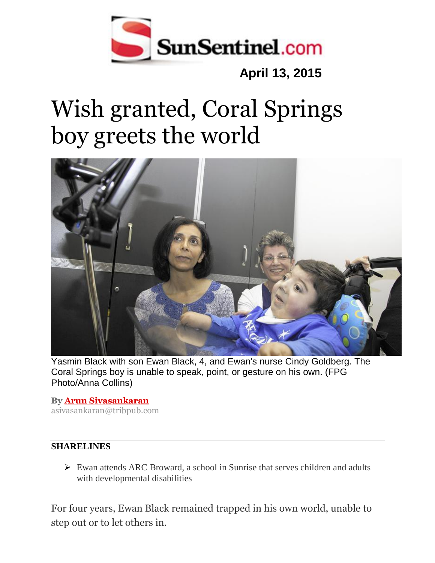

## **April 13, 2015**

## Wish granted, Coral Springs boy greets the world



Yasmin Black with son Ewan Black, 4, and Ewan's nurse Cindy Goldberg. The Coral Springs boy is unable to speak, point, or gesture on his own. (FPG Photo/Anna Collins)

**By [Arun Sivasankaran](http://www.sun-sentinel.com/sfl-arun-sivasankaran-bio-staff.html)** asivasankaran@tribpub.com

## **SHARELINES**

 $\triangleright$  Ewan attends ARC Broward, a school in Sunrise that serves children and adults with developmental disabilities

For four years, Ewan Black remained trapped in his own world, unable to step out or to let others in.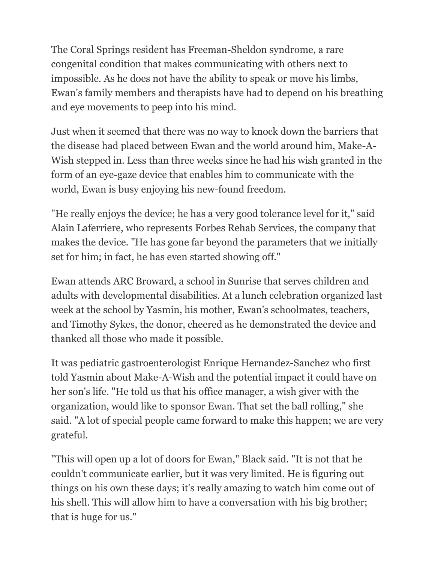The Coral Springs resident has Freeman-Sheldon syndrome, a rare congenital condition that makes communicating with others next to impossible. As he does not have the ability to speak or move his limbs, Ewan's family members and therapists have had to depend on his breathing and eye movements to peep into his mind.

Just when it seemed that there was no way to knock down the barriers that the disease had placed between Ewan and the world around him, Make-A-Wish stepped in. Less than three weeks since he had his wish granted in the form of an eye-gaze device that enables him to communicate with the world, Ewan is busy enjoying his new-found freedom.

"He really enjoys the device; he has a very good tolerance level for it," said Alain Laferriere, who represents Forbes Rehab Services, the company that makes the device. "He has gone far beyond the parameters that we initially set for him; in fact, he has even started showing off."

Ewan attends ARC Broward, a school in Sunrise that serves children and adults with developmental disabilities. At a lunch celebration organized last week at the school by Yasmin, his mother, Ewan's schoolmates, teachers, and Timothy Sykes, the donor, cheered as he demonstrated the device and thanked all those who made it possible.

It was pediatric gastroenterologist Enrique Hernandez-Sanchez who first told Yasmin about Make-A-Wish and the potential impact it could have on her son's life. "He told us that his office manager, a wish giver with the organization, would like to sponsor Ewan. That set the ball rolling," she said. "A lot of special people came forward to make this happen; we are very grateful.

"This will open up a lot of doors for Ewan," Black said. "It is not that he couldn't communicate earlier, but it was very limited. He is figuring out things on his own these days; it's really amazing to watch him come out of his shell. This will allow him to have a conversation with his big brother; that is huge for us."